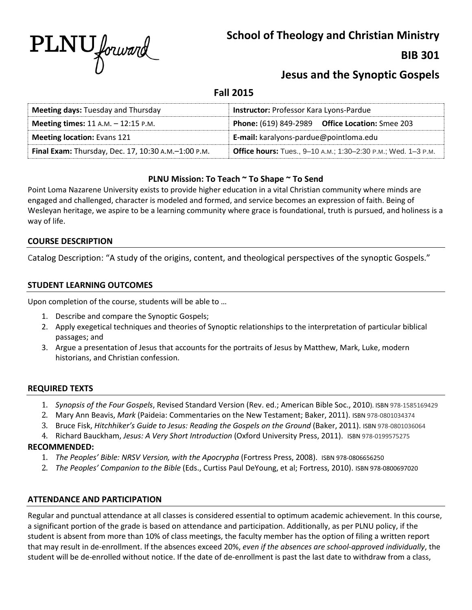

**School of Theology and Christian Ministry**

# **BIB 301**

# **Jesus and the Synoptic Gospels**

**Fall 2015**

| <b>Meeting days: Tuesday and Thursday</b>           | Instructor: Professor Kara Lyons-Pardue                              |  |  |
|-----------------------------------------------------|----------------------------------------------------------------------|--|--|
| Meeting times: $11$ A.M. $- 12:15$ P.M.             | <b>Phone:</b> (619) 849-2989 <b>Office Location:</b> Smee 203        |  |  |
| <b>Meeting location: Evans 121</b>                  | E-mail: karalyons-pardue@pointloma.edu                               |  |  |
| Final Exam: Thursday, Dec. 17, 10:30 A.M.-1:00 P.M. | <b>Office hours:</b> Tues., 9-10 A.M.; 1:30-2:30 P.M.; Wed. 1-3 P.M. |  |  |

# **PLNU Mission: To Teach ~ To Shape ~ To Send**

Point Loma Nazarene University exists to provide higher education in a vital Christian community where minds are engaged and challenged, character is modeled and formed, and service becomes an expression of faith. Being of Wesleyan heritage, we aspire to be a learning community where grace is foundational, truth is pursued, and holiness is a way of life.

# **COURSE DESCRIPTION**

Catalog Description: "A study of the origins, content, and theological perspectives of the synoptic Gospels."

# **STUDENT LEARNING OUTCOMES**

Upon completion of the course, students will be able to …

- 1. Describe and compare the Synoptic Gospels;
- 2. Apply exegetical techniques and theories of Synoptic relationships to the interpretation of particular biblical passages; and
- 3. Argue a presentation of Jesus that accounts for the portraits of Jesus by Matthew, Mark, Luke, modern historians, and Christian confession.

## **REQUIRED TEXTS**

- 1. *Synopsis of the Four Gospels*, Revised Standard Version (Rev. ed.; American Bible Soc., 2010). ISBN 978-1585169429
- 2. Mary Ann Beavis, *Mark* (Paideia: Commentaries on the New Testament; Baker, 2011). ISBN 978-0801034374
- 3. Bruce Fisk, *Hitchhiker's Guide to Jesus: Reading the Gospels on the Ground* (Baker, 2011). ISBN 978-0801036064
- 4. Richard Bauckham, *Jesus: A Very Short Introduction* (Oxford University Press, 2011). ISBN 978-0199575275

## **RECOMMENDED:**

- 1. *The Peoples' Bible: NRSV Version, with the Apocrypha* (Fortress Press, 2008). ISBN 978-0806656250
- 2. *The Peoples' Companion to the Bible* (Eds., Curtiss Paul DeYoung, et al; Fortress, 2010). ISBN 978-0800697020

## **ATTENDANCE AND PARTICIPATION**

Regular and punctual attendance at all classes is considered essential to optimum academic achievement. In this course, a significant portion of the grade is based on attendance and participation. Additionally, as per PLNU policy, if the student is absent from more than 10% of class meetings, the faculty member has the option of filing a written report that may result in de-enrollment. If the absences exceed 20%, *even if the absences are school-approved individually*, the student will be de-enrolled without notice. If the date of de-enrollment is past the last date to withdraw from a class,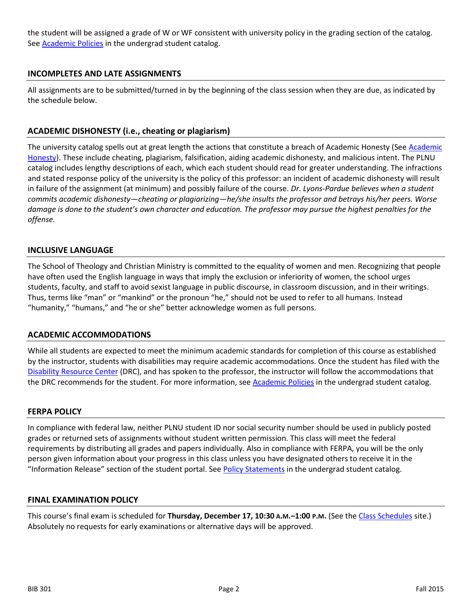the student will be assigned a grade of W or WF consistent with university policy in the grading section of the catalog. Se[e Academic Policies](http://www.pointloma.edu/experience/academics/catalogs/undergraduate-catalog/point-loma-education/academic-policies) in the undergrad student catalog.

## **INCOMPLETES AND LATE ASSIGNMENTS**

All assignments are to be submitted/turned in by the beginning of the class session when they are due, as indicated by the schedule below.

### **ACADEMIC DISHONESTY (i.e., cheating or plagiarism)**

The university catalog spells out at great length the actions that constitute a breach of [Academic](http://catalog.pointloma.edu/content.php?catoid=8&navoid=864%23Academic_Honesty) Honesty (See Academic [Honesty\)](http://catalog.pointloma.edu/content.php?catoid=8&navoid=864%23Academic_Honesty). These include cheating, plagiarism, falsification, aiding academic dishonesty, and malicious intent. The PLNU catalog includes lengthy descriptions of each, which each student should read for greater understanding. The infractions and stated response policy of the university is the policy of this professor: an incident of academic dishonesty will result in failure of the assignment (at minimum) and possibly failure of the course. *Dr. Lyons-Pardue believes when a student commits academic dishonesty—cheating or plagiarizing—he/she insults the professor and betrays his/her peers. Worse damage is done to the student's own character and education. The professor may pursue the highest penalties for the offense.*

#### **INCLUSIVE LANGUAGE**

The School of Theology and Christian Ministry is committed to the equality of women and men. Recognizing that people have often used the English language in ways that imply the exclusion or inferiority of women, the school urges students, faculty, and staff to avoid sexist language in public discourse, in classroom discussion, and in their writings. Thus, terms like "man" or "mankind" or the pronoun "he," should not be used to refer to all humans. Instead "humanity," "humans," and "he or she" better acknowledge women as full persons.

#### **ACADEMIC ACCOMMODATIONS**

While all students are expected to meet the minimum academic standards for completion of this course as established by the instructor, students with disabilities may require academic accommodations. Once the student has filed with the [Disability Resource Center](http://www.pointloma.edu/experience/offices/administrative-offices/academic-advising-office/disability-resource-center) (DRC), and has spoken to the professor, the instructor will follow the accommodations that the DRC recommends for the student. For more information, see [Academic Policies](http://www.pointloma.edu/experience/academics/catalogs/undergraduate-catalog/point-loma-education/academic-policies) in the undergrad student catalog.

#### **FERPA POLICY**

In compliance with federal law, neither PLNU student ID nor social security number should be used in publicly posted grades or returned sets of assignments without student written permission. This class will meet the federal requirements by distributing all grades and papers individually. Also in compliance with FERPA, you will be the only person given information about your progress in this class unless you have designated others to receive it in the "Information Release" section of the student portal. Se[e Policy Statements](http://www.pointloma.edu/experience/academics/catalogs/undergraduate-catalog/policy-statements) in the undergrad student catalog.

#### **FINAL EXAMINATION POLICY**

This course's final exam is scheduled for **Thursday, December 17, 10:30 A.M.–1:00 P.M.** (See the [Class Schedules](http://www.pointloma.edu/experience/academics/class-schedules) site.) Absolutely no requests for early examinations or alternative days will be approved.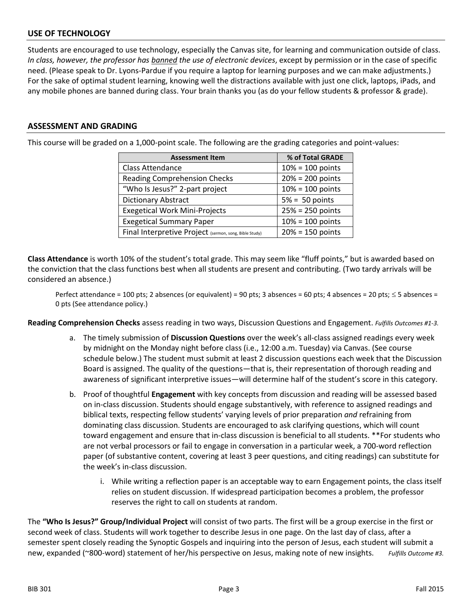## **USE OF TECHNOLOGY**

Students are encouraged to use technology, especially the Canvas site, for learning and communication outside of class. *In class, however, the professor has banned the use of electronic devices*, except by permission or in the case of specific need. (Please speak to Dr. Lyons-Pardue if you require a laptop for learning purposes and we can make adjustments.) For the sake of optimal student learning, knowing well the distractions available with just one click, laptops, iPads, and any mobile phones are banned during class. Your brain thanks you (as do your fellow students & professor & grade).

#### **ASSESSMENT AND GRADING**

This course will be graded on a 1,000-point scale. The following are the grading categories and point-values:

| <b>Assessment Item</b>                                 | % of Total GRADE   |  |
|--------------------------------------------------------|--------------------|--|
| Class Attendance                                       | $10% = 100$ points |  |
| <b>Reading Comprehension Checks</b>                    | $20% = 200$ points |  |
| "Who Is Jesus?" 2-part project                         | $10% = 100$ points |  |
| Dictionary Abstract                                    | $5% = 50$ points   |  |
| <b>Exegetical Work Mini-Projects</b>                   | $25% = 250$ points |  |
| <b>Exegetical Summary Paper</b>                        | $10% = 100$ points |  |
| Final Interpretive Project (sermon, song, Bible Study) | $20% = 150$ points |  |

**Class Attendance** is worth 10% of the student's total grade. This may seem like "fluff points," but is awarded based on the conviction that the class functions best when all students are present and contributing. (Two tardy arrivals will be considered an absence.)

Perfect attendance = 100 pts; 2 absences (or equivalent) = 90 pts; 3 absences = 60 pts; 4 absences = 20 pts;  $\leq$  5 absences = 0 pts (See attendance policy.)

**Reading Comprehension Checks** assess reading in two ways, Discussion Questions and Engagement. *Fulfills Outcomes #1-3.*

- a. The timely submission of **Discussion Questions** over the week's all-class assigned readings every week by midnight on the Monday night before class (i.e., 12:00 a.m. Tuesday) via Canvas. (See course schedule below.) The student must submit at least 2 discussion questions each week that the Discussion Board is assigned. The quality of the questions—that is, their representation of thorough reading and awareness of significant interpretive issues—will determine half of the student's score in this category.
- b. Proof of thoughtful **Engagement** with key concepts from discussion and reading will be assessed based on in-class discussion. Students should engage substantively, with reference to assigned readings and biblical texts, respecting fellow students' varying levels of prior preparation *and* refraining from dominating class discussion. Students are encouraged to ask clarifying questions, which will count toward engagement and ensure that in-class discussion is beneficial to all students. \*\*For students who are not verbal processors or fail to engage in conversation in a particular week, a 700-word reflection paper (of substantive content, covering at least 3 peer questions, and citing readings) can substitute for the week's in-class discussion.
	- i. While writing a reflection paper is an acceptable way to earn Engagement points, the class itself relies on student discussion. If widespread participation becomes a problem, the professor reserves the right to call on students at random.

The **"Who Is Jesus?" Group/Individual Project** will consist of two parts. The first will be a group exercise in the first or second week of class. Students will work together to describe Jesus in one page. On the last day of class, after a semester spent closely reading the Synoptic Gospels and inquiring into the person of Jesus, each student will submit a new, expanded (~800-word) statement of her/his perspective on Jesus, making note of new insights. *Fulfills Outcome #3.*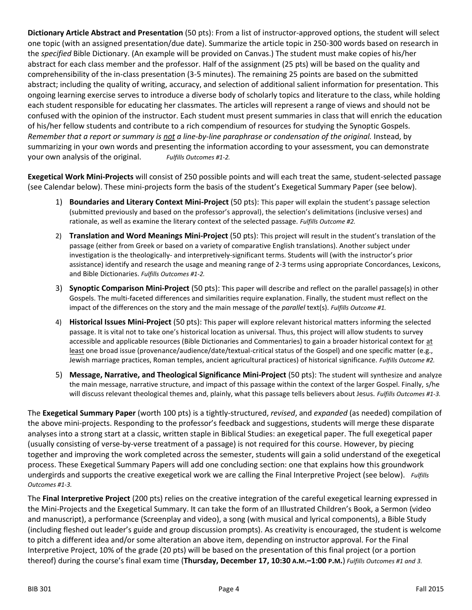**Dictionary Article Abstract and Presentation** (50 pts): From a list of instructor-approved options, the student will select one topic (with an assigned presentation/due date). Summarize the article topic in 250-300 words based on research in the *specified* Bible Dictionary. (An example will be provided on Canvas.) The student must make copies of his/her abstract for each class member and the professor. Half of the assignment (25 pts) will be based on the quality and comprehensibility of the in-class presentation (3-5 minutes). The remaining 25 points are based on the submitted abstract; including the quality of writing, accuracy, and selection of additional salient information for presentation. This ongoing learning exercise serves to introduce a diverse body of scholarly topics and literature to the class, while holding each student responsible for educating her classmates. The articles will represent a range of views and should not be confused with the opinion of the instructor. Each student must present summaries in class that will enrich the education of his/her fellow students and contribute to a rich compendium of resources for studying the Synoptic Gospels. *Remember that a report or summary is not a line-by-line paraphrase or condensation of the original.* Instead, by summarizing in your own words and presenting the information according to your assessment, you can demonstrate your own analysis of the original. *Fulfills Outcomes #1-2.*

**Exegetical Work Mini-Projects** will consist of 250 possible points and will each treat the same, student-selected passage (see Calendar below). These mini-projects form the basis of the student's Exegetical Summary Paper (see below).

- 1) **Boundaries and Literary Context Mini-Project** (50 pts): This paper will explain the student's passage selection (submitted previously and based on the professor's approval), the selection's delimitations (inclusive verses) and rationale, as well as examine the literary context of the selected passage. *Fulfills Outcome #2.*
- 2) **Translation and Word Meanings Mini-Project** (50 pts): This project will result in the student's translation of the passage (either from Greek or based on a variety of comparative English translations). Another subject under investigation is the theologically- and interpretively-significant terms. Students will (with the instructor's prior assistance) identify and research the usage and meaning range of 2-3 terms using appropriate Concordances, Lexicons, and Bible Dictionaries. *Fulfills Outcomes #1-2.*
- 3) **Synoptic Comparison Mini-Project** (50 pts): This paper will describe and reflect on the parallel passage(s) in other Gospels. The multi-faceted differences and similarities require explanation. Finally, the student must reflect on the impact of the differences on the story and the main message of the *parallel* text(s). *Fulfills Outcome #1.*
- 4) **Historical Issues Mini-Project** (50 pts): This paper will explore relevant historical matters informing the selected passage. It is vital not to take one's historical location as universal. Thus, this project will allow students to survey accessible and applicable resources (Bible Dictionaries and Commentaries) to gain a broader historical context for at least one broad issue (provenance/audience/date/textual-critical status of the Gospel) and one specific matter (e.g., Jewish marriage practices, Roman temples, ancient agricultural practices) of historical significance. *Fulfills Outcome #2.*
- 5) **Message, Narrative, and Theological Significance Mini-Project** (50 pts): The student will synthesize and analyze the main message, narrative structure, and impact of this passage within the context of the larger Gospel. Finally, s/he will discuss relevant theological themes and, plainly, what this passage tells believers about Jesus. *Fulfills Outcomes #1-3.*

The **Exegetical Summary Paper** (worth 100 pts) is a tightly-structured, *revised*, and *expanded* (as needed) compilation of the above mini-projects. Responding to the professor's feedback and suggestions, students will merge these disparate analyses into a strong start at a classic, written staple in Biblical Studies: an exegetical paper. The full exegetical paper (usually consisting of verse-by-verse treatment of a passage) is not required for this course. However, by piecing together and improving the work completed across the semester, students will gain a solid understand of the exegetical process. These Exegetical Summary Papers will add one concluding section: one that explains how this groundwork undergirds and supports the creative exegetical work we are calling the Final Interpretive Project (see below). *Fulfills Outcomes #1-3.*

The **Final Interpretive Project** (200 pts) relies on the creative integration of the careful exegetical learning expressed in the Mini-Projects and the Exegetical Summary. It can take the form of an Illustrated Children's Book, a Sermon (video and manuscript), a performance (Screenplay and video), a song (with musical and lyrical components), a Bible Study (including fleshed out leader's guide and group discussion prompts). As creativity is encouraged, the student is welcome to pitch a different idea and/or some alteration an above item, depending on instructor approval. For the Final Interpretive Project, 10% of the grade (20 pts) will be based on the presentation of this final project (or a portion thereof) during the course's final exam time (**Thursday, December 17, 10:30 A.M.–1:00 P.M.**) *Fulfills Outcomes #1 and 3.*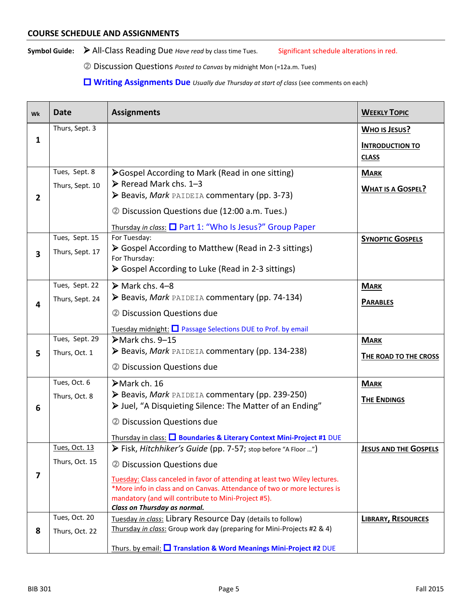Symbol Guide: > All-Class Reading Due *Have read* by class time Tues. Significant schedule alterations in red.

Discussion Questions *Posted to Canvas* by midnight Mon (=12a.m. Tues)

**Writing Assignments Due** *Usually due Thursday at start of class* (see comments on each)

| Wk           | <b>Date</b>          | <b>Assignments</b>                                                                                                              | <b>WEEKLY TOPIC</b>                    |
|--------------|----------------------|---------------------------------------------------------------------------------------------------------------------------------|----------------------------------------|
|              | Thurs, Sept. 3       |                                                                                                                                 | <b>WHO IS JESUS?</b>                   |
| 1            |                      |                                                                                                                                 | <b>INTRODUCTION TO</b><br><b>CLASS</b> |
|              | Tues, Sept. 8        |                                                                                                                                 |                                        |
|              | Thurs, Sept. 10      | ≻Gospel According to Mark (Read in one sitting)<br>$\triangleright$ Reread Mark chs. 1-3                                        | <b>MARK</b>                            |
| $\mathbf{2}$ |                      | Beavis, Mark PAIDEIA commentary (pp. 3-73)                                                                                      | <b>WHAT IS A GOSPEL?</b>               |
|              |                      | 2 Discussion Questions due (12:00 a.m. Tues.)                                                                                   |                                        |
|              |                      | Thursday in class: □ Part 1: "Who Is Jesus?" Group Paper                                                                        |                                        |
|              | Tues, Sept. 15       | For Tuesday:                                                                                                                    | <b>SYNOPTIC GOSPELS</b>                |
| 3            | Thurs, Sept. 17      | Sospel According to Matthew (Read in 2-3 sittings)<br>For Thursday:                                                             |                                        |
|              |                      | Sospel According to Luke (Read in 2-3 sittings)                                                                                 |                                        |
|              | Tues, Sept. 22       | $\triangleright$ Mark chs. 4-8                                                                                                  | <b>MARK</b>                            |
| 4            | Thurs, Sept. 24      | Beavis, Mark PAIDEIA commentary (pp. 74-134)                                                                                    | <b>PARABLES</b>                        |
|              |                      | 2 Discussion Questions due                                                                                                      |                                        |
|              |                      | Tuesday midnight: □ Passage Selections DUE to Prof. by email                                                                    |                                        |
|              | Tues, Sept. 29       | $\triangleright$ Mark chs. 9–15                                                                                                 | <b>MARK</b>                            |
| 5            | Thurs, Oct. 1        | Beavis, Mark PAIDEIA commentary (pp. 134-238)                                                                                   | THE ROAD TO THE CROSS                  |
|              |                      | 2 Discussion Questions due                                                                                                      |                                        |
|              | Tues, Oct. 6         | $\blacktriangleright$ Mark ch. 16                                                                                               | <b>MARK</b>                            |
|              | Thurs, Oct. 8        | Beavis, Mark PAIDEIA commentary (pp. 239-250)                                                                                   | <b>THE ENDINGS</b>                     |
| 6            |                      | > Juel, "A Disquieting Silence: The Matter of an Ending"                                                                        |                                        |
|              |                      | 2 Discussion Questions due                                                                                                      |                                        |
|              |                      | Thursday in class: <b>□ Boundaries &amp; Literary Context Mini-Project #1 DUE</b>                                               |                                        |
|              | <u>Tues, Oct. 13</u> | Fisk, Hitchhiker's Guide (pp. 7-57; stop before "A Floor ")                                                                     | <b>JESUS AND THE GOSPELS</b>           |
|              | Thurs, Oct. 15       | 2 Discussion Questions due                                                                                                      |                                        |
| 7            |                      | Tuesday: Class canceled in favor of attending at least two Wiley lectures.                                                      |                                        |
|              |                      | *More info in class and on Canvas. Attendance of two or more lectures is<br>mandatory (and will contribute to Mini-Project #5). |                                        |
|              |                      | Class on Thursday as normal.                                                                                                    |                                        |
|              | Tues, Oct. 20        | Tuesday in class: Library Resource Day (details to follow)                                                                      | <b>LIBRARY, RESOURCES</b>              |
| 8            | Thurs, Oct. 22       | Thursday in class: Group work day (preparing for Mini-Projects #2 & 4)                                                          |                                        |
|              |                      | Thurs. by email: <b>U</b> Translation & Word Meanings Mini-Project #2 DUE                                                       |                                        |